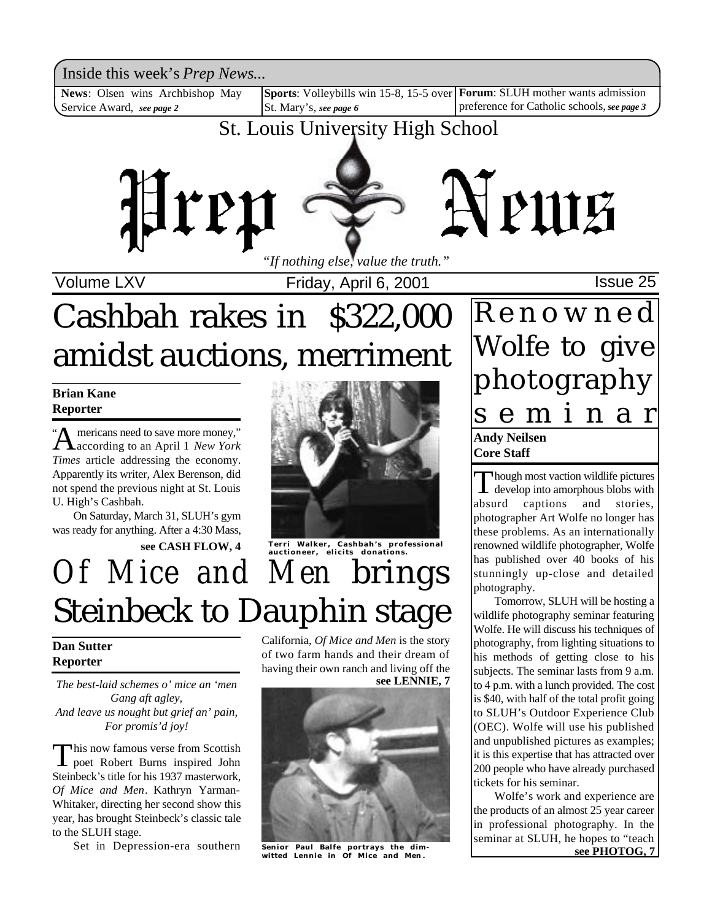Inside this week's *Prep News*...

**News**: Olsen wins Archbishop May Service Award, *see page 2*

**Subsetember 15, 2000 April 6, 2000 April 6, 2001** Mews.<br> **News**: Olsen wins Archbishop May Sports: Volleybills win 15-8, 15-5 over Forum: SLUH mother wants admission St. Mary's, *see page 6*

preference for Catholic schools, *see page 3*

### St. Louis University High School



Volume LXV **Internal Contract Prices**, April 6, 2001 **ISSUE 25** 

# Cashbah rakes in \$322,000 amidst auctions, merriment

### **Brian Kane Reporter**

**A** mericans need to save more money,"<br>according to an April 1 *New York* mericans need to save more money," *Times* article addressing the economy. Apparently its writer, Alex Berenson, did not spend the previous night at St. Louis U. High's Cashbah. "

On Saturday, March 31, SLUH's gym was ready for anything. After a 4:30 Mass,



## *Of Mice and Men* brings Steinbeck to Dauphin stage

### **Dan Sutter Reporter**

*The best-laid schemes o' mice an 'men Gang aft agley, And leave us nought but grief an' pain, For promis'd joy!*

This now famous verse from Scottish<br>poet Robert Burns inspired John his now famous verse from Scottish Steinbeck's title for his 1937 masterwork, *Of Mice and Men*. Kathryn Yarman-Whitaker, directing her second show this year, has brought Steinbeck's classic tale to the SLUH stage.

Set in Depression-era southern

**see LENNIE, 7** California, *Of Mice and Men* is the story of two farm hands and their dream of having their own ranch and living off the



**Senior Paul Balfe portrays the dimwitted Lennie in** *Of Mice and Men* **.**

### **Andy Neilsen Core Staff** R e n o w n e d Wolfe to give photography s e m i n a r

Though most vaction wildlife pictures<br>develop into amorphous blobs with hough most vaction wildlife pictures absurd captions and stories, photographer Art Wolfe no longer has these problems. As an internationally renowned wildlife photographer, Wolfe has published over 40 books of his stunningly up-close and detailed photography.

Tomorrow, SLUH will be hosting a wildlife photography seminar featuring Wolfe. He will discuss his techniques of photography, from lighting situations to his methods of getting close to his subjects. The seminar lasts from 9 a.m. to 4 p.m. with a lunch provided. The cost is \$40, with half of the total profit going to SLUH's Outdoor Experience Club (OEC). Wolfe will use his published and unpublished pictures as examples; it is this expertise that has attracted over 200 people who have already purchased tickets for his seminar.

Wolfe's work and experience are the products of an almost 25 year career in professional photography. In the seminar at SLUH, he hopes to "teach **see PHOTOG, 7**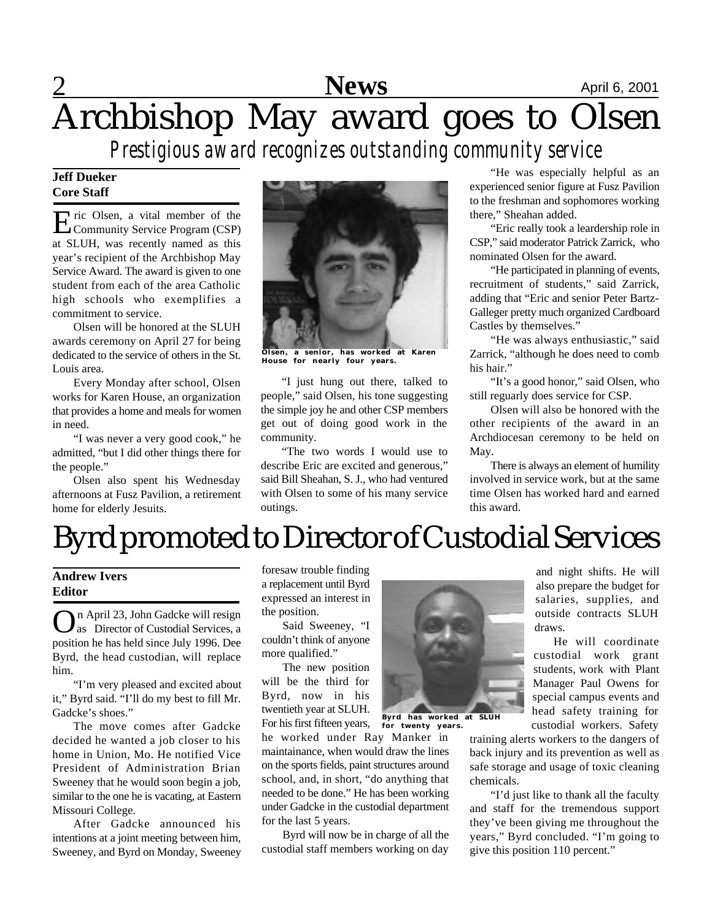## **News** April 6, 2001 Archbishop May award goes to Olsen

*Prestigious award recognizes outstanding community service*

### **Jeff Dueker Core Staff**

E ric Olsen, a vital member of the Community Service Program (CSP) Community Service Program (CSP) at SLUH, was recently named as this year's recipient of the Archbishop May Service Award. The award is given to one student from each of the area Catholic high schools who exemplifies a commitment to service.

Olsen will be honored at the SLUH awards ceremony on April 27 for being dedicated to the service of others in the St. Louis area.

Every Monday after school, Olsen works for Karen House, an organization that provides a home and meals for women in need.

"I was never a very good cook," he admitted, "but I did other things there for the people."

Olsen also spent his Wednesday afternoons at Fusz Pavilion, a retirement home for elderly Jesuits.



**Olsen, a senior, has worked at Karen House for nearly four years.**

"I just hung out there, talked to people," said Olsen, his tone suggesting the simple joy he and other CSP members get out of doing good work in the community.

"The two words I would use to describe Eric are excited and generous," said Bill Sheahan, S. J., who had ventured with Olsen to some of his many service outings.

"He was especially helpful as an experienced senior figure at Fusz Pavilion to the freshman and sophomores working there," Sheahan added.

"Eric really took a leardership role in CSP," said moderator Patrick Zarrick, who nominated Olsen for the award.

"He participated in planning of events, recruitment of students," said Zarrick, adding that "Eric and senior Peter Bartz-Galleger pretty much organized Cardboard Castles by themselves."

"He was always enthusiastic," said Zarrick, "although he does need to comb his hair."

"It's a good honor," said Olsen, who still reguarly does service for CSP.

Olsen will also be honored with the other recipients of the award in an Archdiocesan ceremony to be held on May.

There is always an element of humility involved in service work, but at the same time Olsen has worked hard and earned this award.

## Byrd promoted to Director of Custodial Services

### **Andrew Ivers Editor**

On April 23, John Gadcke will resign<br>as Director of Custodial Services, a n April 23, John Gadcke will resign position he has held since July 1996. Dee Byrd, the head custodian, will replace him.

"I'm very pleased and excited about it," Byrd said. "I'll do my best to fill Mr. Gadcke's shoes."

The move comes after Gadcke decided he wanted a job closer to his home in Union, Mo. He notified Vice President of Administration Brian Sweeney that he would soon begin a job, similar to the one he is vacating, at Eastern Missouri College.

After Gadcke announced his intentions at a joint meeting between him, Sweeney, and Byrd on Monday, Sweeney foresaw trouble finding a replacement until Byrd expressed an interest in the position.

Said Sweeney, "I couldn't think of anyone more qualified."

The new position will be the third for Byrd, now in his twentieth year at SLUH. For his first fifteen years,

he worked under Ray Manker in maintainance, when would draw the lines on the sports fields, paint structures around school, and, in short, "do anything that needed to be done." He has been working under Gadcke in the custodial department for the last 5 years.

Byrd will now be in charge of all the custodial staff members working on day



**for twenty years.**

also prepare the budget for salaries, supplies, and outside contracts SLUH draws. He will coordinate

and night shifts. He will

custodial work grant students, work with Plant Manager Paul Owens for special campus events and head safety training for custodial workers. Safety

training alerts workers to the dangers of back injury and its prevention as well as safe storage and usage of toxic cleaning chemicals.

"I'd just like to thank all the faculty and staff for the tremendous support they've been giving me throughout the years," Byrd concluded. "I'm going to give this position 110 percent."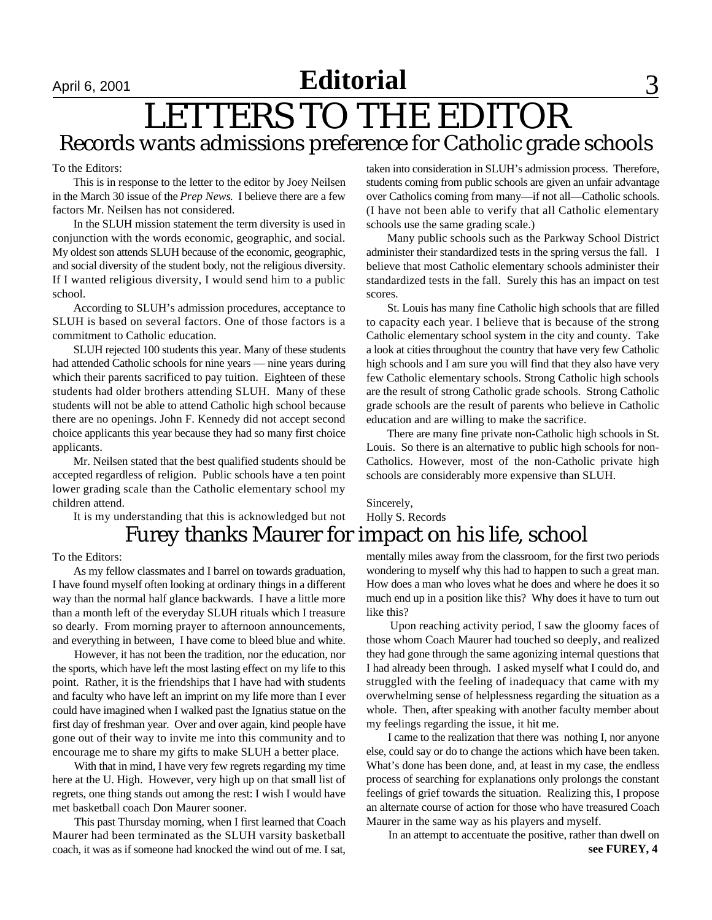### April 6, 2001 **Editorial** 3

## LETTERS TO THE EDITOR Records wants admissions preference for Catholic grade schools

To the Editors:

This is in response to the letter to the editor by Joey Neilsen in the March 30 issue of the *Prep News*. I believe there are a few factors Mr. Neilsen has not considered.

In the SLUH mission statement the term diversity is used in conjunction with the words economic, geographic, and social. My oldest son attends SLUH because of the economic, geographic, and social diversity of the student body, not the religious diversity. If I wanted religious diversity, I would send him to a public school.

According to SLUH's admission procedures, acceptance to SLUH is based on several factors. One of those factors is a commitment to Catholic education.

SLUH rejected 100 students this year. Many of these students had attended Catholic schools for nine years — nine years during which their parents sacrificed to pay tuition. Eighteen of these students had older brothers attending SLUH. Many of these students will not be able to attend Catholic high school because there are no openings. John F. Kennedy did not accept second choice applicants this year because they had so many first choice applicants.

Mr. Neilsen stated that the best qualified students should be accepted regardless of religion. Public schools have a ten point lower grading scale than the Catholic elementary school my children attend.

It is my understanding that this is acknowledged but not

### Furey thanks Maurer for impact on his life, school

To the Editors:

As my fellow classmates and I barrel on towards graduation, I have found myself often looking at ordinary things in a different way than the normal half glance backwards. I have a little more than a month left of the everyday SLUH rituals which I treasure so dearly. From morning prayer to afternoon announcements, and everything in between, I have come to bleed blue and white.

 However, it has not been the tradition, nor the education, nor the sports, which have left the most lasting effect on my life to this point. Rather, it is the friendships that I have had with students and faculty who have left an imprint on my life more than I ever could have imagined when I walked past the Ignatius statue on the first day of freshman year. Over and over again, kind people have gone out of their way to invite me into this community and to encourage me to share my gifts to make SLUH a better place.

 With that in mind, I have very few regrets regarding my time here at the U. High. However, very high up on that small list of regrets, one thing stands out among the rest: I wish I would have met basketball coach Don Maurer sooner.

 This past Thursday morning, when I first learned that Coach Maurer had been terminated as the SLUH varsity basketball coach, it was as if someone had knocked the wind out of me. I sat,

taken into consideration in SLUH's admission process. Therefore, students coming from public schools are given an unfair advantage over Catholics coming from many—if not all—Catholic schools. (I have not been able to verify that all Catholic elementary schools use the same grading scale.)

Many public schools such as the Parkway School District administer their standardized tests in the spring versus the fall. I believe that most Catholic elementary schools administer their standardized tests in the fall. Surely this has an impact on test scores.

St. Louis has many fine Catholic high schools that are filled to capacity each year. I believe that is because of the strong Catholic elementary school system in the city and county. Take a look at cities throughout the country that have very few Catholic high schools and I am sure you will find that they also have very few Catholic elementary schools. Strong Catholic high schools are the result of strong Catholic grade schools. Strong Catholic grade schools are the result of parents who believe in Catholic education and are willing to make the sacrifice.

There are many fine private non-Catholic high schools in St. Louis. So there is an alternative to public high schools for non-Catholics. However, most of the non-Catholic private high schools are considerably more expensive than SLUH.

### Sincerely, Holly S. Records

mentally miles away from the classroom, for the first two periods wondering to myself why this had to happen to such a great man. How does a man who loves what he does and where he does it so much end up in a position like this? Why does it have to turn out like this?

 Upon reaching activity period, I saw the gloomy faces of those whom Coach Maurer had touched so deeply, and realized they had gone through the same agonizing internal questions that I had already been through. I asked myself what I could do, and struggled with the feeling of inadequacy that came with my overwhelming sense of helplessness regarding the situation as a whole. Then, after speaking with another faculty member about my feelings regarding the issue, it hit me.

 I came to the realization that there was nothing I, nor anyone else, could say or do to change the actions which have been taken. What's done has been done, and, at least in my case, the endless process of searching for explanations only prolongs the constant feelings of grief towards the situation. Realizing this, I propose an alternate course of action for those who have treasured Coach Maurer in the same way as his players and myself.

**see FUREY, 4** In an attempt to accentuate the positive, rather than dwell on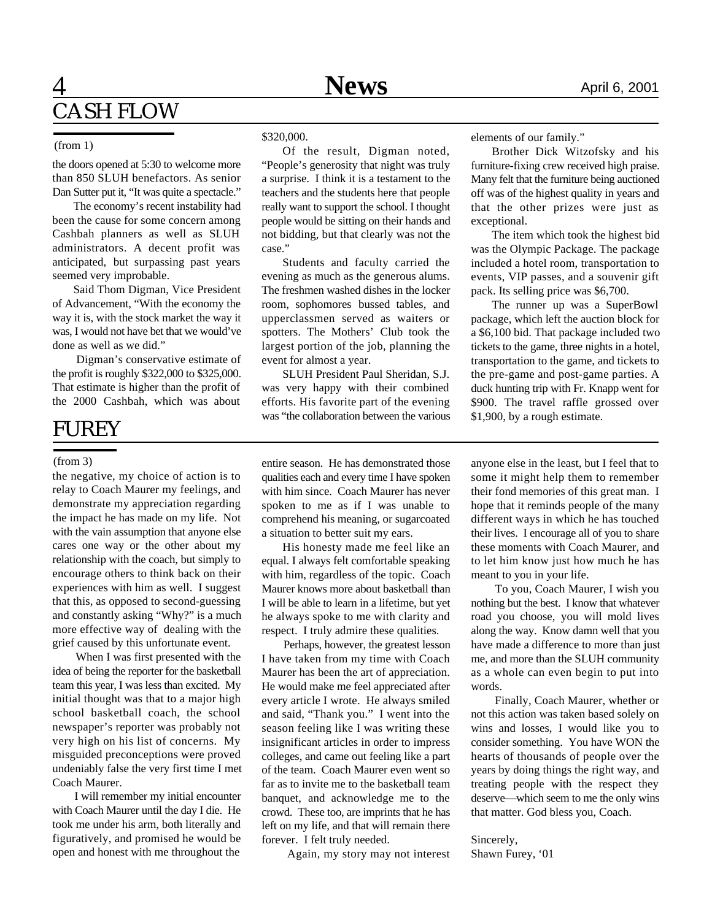### **1 News** April 6, 2001 CASH FLOW

#### (from 1)

the doors opened at 5:30 to welcome more than 850 SLUH benefactors. As senior Dan Sutter put it, "It was quite a spectacle."

The economy's recent instability had been the cause for some concern among Cashbah planners as well as SLUH administrators. A decent profit was anticipated, but surpassing past years seemed very improbable.

Said Thom Digman, Vice President of Advancement, "With the economy the way it is, with the stock market the way it was, I would not have bet that we would've done as well as we did."

 Digman's conservative estimate of the profit is roughly \$322,000 to \$325,000. That estimate is higher than the profit of the 2000 Cashbah, which was about

### FUREY

#### (from 3)

the negative, my choice of action is to relay to Coach Maurer my feelings, and demonstrate my appreciation regarding the impact he has made on my life. Not with the vain assumption that anyone else cares one way or the other about my relationship with the coach, but simply to encourage others to think back on their experiences with him as well. I suggest that this, as opposed to second-guessing and constantly asking "Why?" is a much more effective way of dealing with the grief caused by this unfortunate event.

 When I was first presented with the idea of being the reporter for the basketball team this year, I was less than excited. My initial thought was that to a major high school basketball coach, the school newspaper's reporter was probably not very high on his list of concerns. My misguided preconceptions were proved undeniably false the very first time I met Coach Maurer.

 I will remember my initial encounter with Coach Maurer until the day I die. He took me under his arm, both literally and figuratively, and promised he would be open and honest with me throughout the

#### \$320,000.

Of the result, Digman noted, "People's generosity that night was truly a surprise. I think it is a testament to the teachers and the students here that people really want to support the school. I thought people would be sitting on their hands and not bidding, but that clearly was not the case."

Students and faculty carried the evening as much as the generous alums. The freshmen washed dishes in the locker room, sophomores bussed tables, and upperclassmen served as waiters or spotters. The Mothers' Club took the largest portion of the job, planning the event for almost a year.

SLUH President Paul Sheridan, S.J. was very happy with their combined efforts. His favorite part of the evening was "the collaboration between the various elements of our family."

Brother Dick Witzofsky and his furniture-fixing crew received high praise. Many felt that the furniture being auctioned off was of the highest quality in years and that the other prizes were just as exceptional.

The item which took the highest bid was the Olympic Package. The package included a hotel room, transportation to events, VIP passes, and a souvenir gift pack. Its selling price was \$6,700.

The runner up was a SuperBowl package, which left the auction block for a \$6,100 bid. That package included two tickets to the game, three nights in a hotel, transportation to the game, and tickets to the pre-game and post-game parties. A duck hunting trip with Fr. Knapp went for \$900. The travel raffle grossed over \$1,900, by a rough estimate.

entire season. He has demonstrated those qualities each and every time I have spoken with him since. Coach Maurer has never spoken to me as if I was unable to comprehend his meaning, or sugarcoated a situation to better suit my ears.

His honesty made me feel like an equal. I always felt comfortable speaking with him, regardless of the topic. Coach Maurer knows more about basketball than I will be able to learn in a lifetime, but yet he always spoke to me with clarity and respect. I truly admire these qualities.

 Perhaps, however, the greatest lesson I have taken from my time with Coach Maurer has been the art of appreciation. He would make me feel appreciated after every article I wrote. He always smiled and said, "Thank you." I went into the season feeling like I was writing these insignificant articles in order to impress colleges, and came out feeling like a part of the team. Coach Maurer even went so far as to invite me to the basketball team banquet, and acknowledge me to the crowd. These too, are imprints that he has left on my life, and that will remain there forever. I felt truly needed.

Again, my story may not interest

anyone else in the least, but I feel that to some it might help them to remember their fond memories of this great man. I hope that it reminds people of the many different ways in which he has touched their lives. I encourage all of you to share these moments with Coach Maurer, and to let him know just how much he has meant to you in your life.

 To you, Coach Maurer, I wish you nothing but the best. I know that whatever road you choose, you will mold lives along the way. Know damn well that you have made a difference to more than just me, and more than the SLUH community as a whole can even begin to put into words.

 Finally, Coach Maurer, whether or not this action was taken based solely on wins and losses, I would like you to consider something. You have WON the hearts of thousands of people over the years by doing things the right way, and treating people with the respect they deserve—which seem to me the only wins that matter. God bless you, Coach.

#### Sincerely, Shawn Furey, '01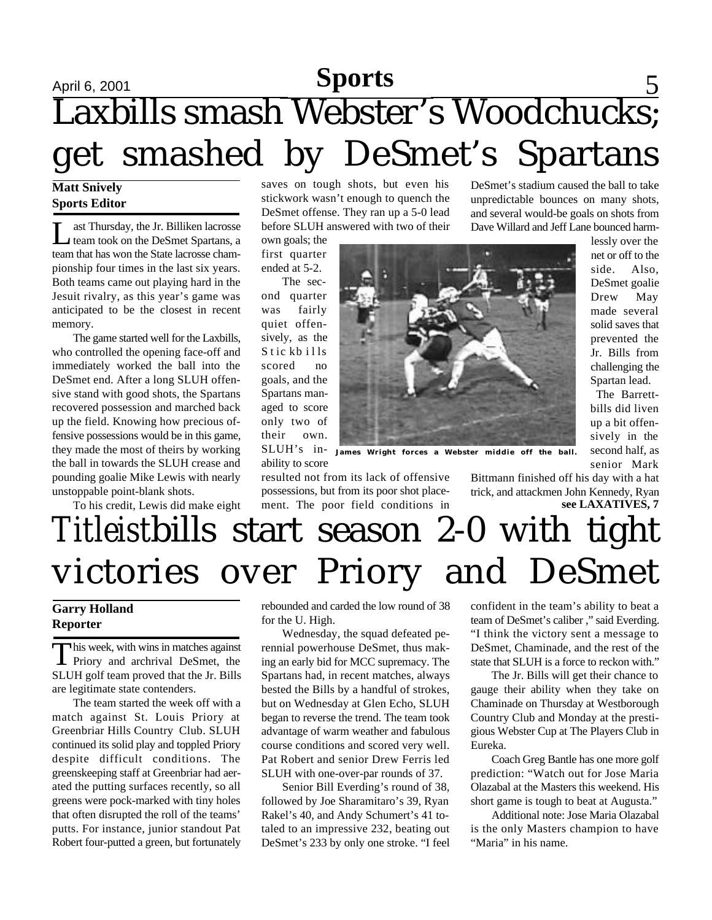## April 6, 2001 **Sports** 5 Laxbills smash Webster's Woodchucks; get smashed by DeSmet's Spartans

#### **Matt Snively Sports Editor**

L ast Thursday, the Jr. Billiken lacrosse team took on the DeSmet Spartans, a team that has won the State lacrosse championship four times in the last six years. Both teams came out playing hard in the Jesuit rivalry, as this year's game was anticipated to be the closest in recent memory.

The game started well for the Laxbills, who controlled the opening face-off and immediately worked the ball into the DeSmet end. After a long SLUH offensive stand with good shots, the Spartans recovered possession and marched back up the field. Knowing how precious offensive possessions would be in this game, they made the most of theirs by working the ball in towards the SLUH crease and pounding goalie Mike Lewis with nearly unstoppable point-blank shots.

To his credit, Lewis did make eight

saves on tough shots, but even his stickwork wasn't enough to quench the DeSmet offense. They ran up a 5-0 lead before SLUH answered with two of their

own goals; the first quarter ended at 5-2.

The second quarter was fairly quiet offensively, as the S tic kb ills scored no goals, and the Spartans managed to score only two of their own.

ability to score

resulted not from its lack of offensive possessions, but from its poor shot placement. The poor field conditions in

DeSmet's stadium caused the ball to take unpredictable bounces on many shots, and several would-be goals on shots from Dave Willard and Jeff Lane bounced harm-

> lessly over the net or off to the side. Also, DeSmet goalie Drew May made several solid saves that prevented the Jr. Bills from challenging the Spartan lead.

> The Barrettbills did liven up a bit offensively in the second half, as senior Mark

SLUH's in-**James Wright forces a Webster middie off the ball.**

Bittmann finished off his day with a hat trick, and attackmen John Kennedy, Ryan **see LAXATIVES, 7**

## *Titleist*bills start season 2-0 with tight victories over Priory and DeSmet

### **Garry Holland Reporter**

This week, with wins in matches against<br>Priory and archrival DeSmet, the his week, with wins in matches against SLUH golf team proved that the Jr. Bills are legitimate state contenders.

The team started the week off with a match against St. Louis Priory at Greenbriar Hills Country Club. SLUH continued its solid play and toppled Priory despite difficult conditions. The greenskeeping staff at Greenbriar had aerated the putting surfaces recently, so all greens were pock-marked with tiny holes that often disrupted the roll of the teams' putts. For instance, junior standout Pat Robert four-putted a green, but fortunately

rebounded and carded the low round of 38 for the U. High.

Wednesday, the squad defeated perennial powerhouse DeSmet, thus making an early bid for MCC supremacy. The Spartans had, in recent matches, always bested the Bills by a handful of strokes, but on Wednesday at Glen Echo, SLUH began to reverse the trend. The team took advantage of warm weather and fabulous course conditions and scored very well. Pat Robert and senior Drew Ferris led SLUH with one-over-par rounds of 37.

Senior Bill Everding's round of 38, followed by Joe Sharamitaro's 39, Ryan Rakel's 40, and Andy Schumert's 41 totaled to an impressive 232, beating out DeSmet's 233 by only one stroke. "I feel

confident in the team's ability to beat a team of DeSmet's caliber ," said Everding. "I think the victory sent a message to DeSmet, Chaminade, and the rest of the state that SLUH is a force to reckon with."

The Jr. Bills will get their chance to gauge their ability when they take on Chaminade on Thursday at Westborough Country Club and Monday at the prestigious Webster Cup at The Players Club in Eureka.

Coach Greg Bantle has one more golf prediction: "Watch out for Jose Maria Olazabal at the Masters this weekend. His short game is tough to beat at Augusta."

Additional note: Jose Maria Olazabal is the only Masters champion to have "Maria" in his name.

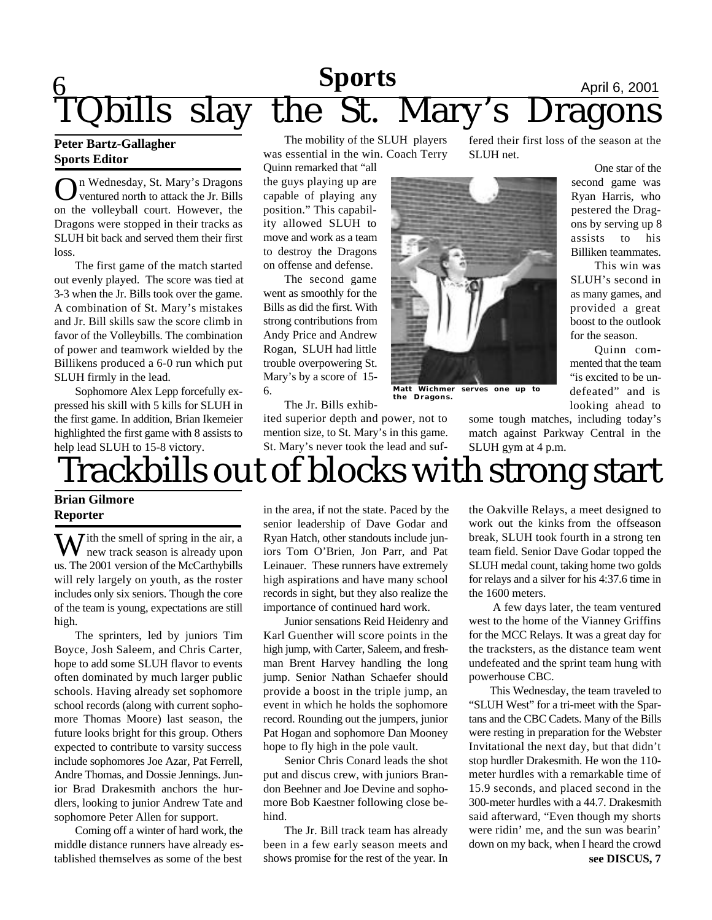### $\overline{\mathsf{Q}}$ **Sports**<br> **The St. Mary's Dragons** bills slay the St. Mary's Dragons

#### **Peter Bartz-Gallagher Sports Editor**

**O**n Wednesday, St. Mary's Dragons<br>ventured north to attack the Jr. Bills<br>on the volleyball court. However, the n Wednesday, St. Mary's Dragons ventured north to attack the Jr. Bills Dragons were stopped in their tracks as SLUH bit back and served them their first loss.

The first game of the match started out evenly played. The score was tied at 3-3 when the Jr. Bills took over the game. A combination of St. Mary's mistakes and Jr. Bill skills saw the score climb in favor of the Volleybills. The combination of power and teamwork wielded by the Billikens produced a 6-0 run which put SLUH firmly in the lead.

Sophomore Alex Lepp forcefully expressed his skill with 5 kills for SLUH in the first game. In addition, Brian Ikemeier highlighted the first game with 8 assists to help lead SLUH to 15-8 victory.

The mobility of the SLUH players was essential in the win. Coach Terry

Quinn remarked that "all the guys playing up are capable of playing any position." This capability allowed SLUH to move and work as a team to destroy the Dragons on offense and defense.

The second game went as smoothly for the Bills as did the first. With strong contributions from Andy Price and Andrew Rogan, SLUH had little trouble overpowering St. Mary's by a score of 15- 6.

The Jr. Bills exhib-

ited superior depth and power, not to mention size, to St. Mary's in this game. St. Mary's never took the lead and suf-



**Matt Wichmer serves one up to the Dragons.**

fered their first loss of the season at the SLUH net.

> One star of the second game was Ryan Harris, who pestered the Dragons by serving up 8 assists to his Billiken teammates.

This win was SLUH's second in as many games, and provided a great boost to the outlook for the season.

Quinn commented that the team "is excited to be undefeated" and is looking ahead to

some tough matches, including today's match against Parkway Central in the SLUH gym at 4 p.m.

# Trackbills out of blocks with strong start

### **Brian Gilmore Reporter**

 $\bar{J}$  ith the smell of spring in the air, a new track season is already upon us. The 2001 version of the McCarthybills will rely largely on youth, as the roster includes only six seniors. Though the core of the team is young, expectations are still high.

The sprinters, led by juniors Tim Boyce, Josh Saleem, and Chris Carter, hope to add some SLUH flavor to events often dominated by much larger public schools. Having already set sophomore school records (along with current sophomore Thomas Moore) last season, the future looks bright for this group. Others expected to contribute to varsity success include sophomores Joe Azar, Pat Ferrell, Andre Thomas, and Dossie Jennings. Junior Brad Drakesmith anchors the hurdlers, looking to junior Andrew Tate and sophomore Peter Allen for support.

Coming off a winter of hard work, the middle distance runners have already established themselves as some of the best in the area, if not the state. Paced by the senior leadership of Dave Godar and Ryan Hatch, other standouts include juniors Tom O'Brien, Jon Parr, and Pat Leinauer. These runners have extremely high aspirations and have many school records in sight, but they also realize the importance of continued hard work.

Junior sensations Reid Heidenry and Karl Guenther will score points in the high jump, with Carter, Saleem, and freshman Brent Harvey handling the long jump. Senior Nathan Schaefer should provide a boost in the triple jump, an event in which he holds the sophomore record. Rounding out the jumpers, junior Pat Hogan and sophomore Dan Mooney hope to fly high in the pole vault.

Senior Chris Conard leads the shot put and discus crew, with juniors Brandon Beehner and Joe Devine and sophomore Bob Kaestner following close behind.

The Jr. Bill track team has already been in a few early season meets and shows promise for the rest of the year. In

the Oakville Relays, a meet designed to work out the kinks from the offseason break, SLUH took fourth in a strong ten team field. Senior Dave Godar topped the SLUH medal count, taking home two golds for relays and a silver for his 4:37.6 time in the 1600 meters.

 A few days later, the team ventured west to the home of the Vianney Griffins for the MCC Relays. It was a great day for the tracksters, as the distance team went undefeated and the sprint team hung with powerhouse CBC.

This Wednesday, the team traveled to "SLUH West" for a tri-meet with the Spartans and the CBC Cadets. Many of the Bills were resting in preparation for the Webster Invitational the next day, but that didn't stop hurdler Drakesmith. He won the 110 meter hurdles with a remarkable time of 15.9 seconds, and placed second in the 300-meter hurdles with a 44.7. Drakesmith said afterward, "Even though my shorts were ridin' me, and the sun was bearin' down on my back, when I heard the crowd **see DISCUS, 7**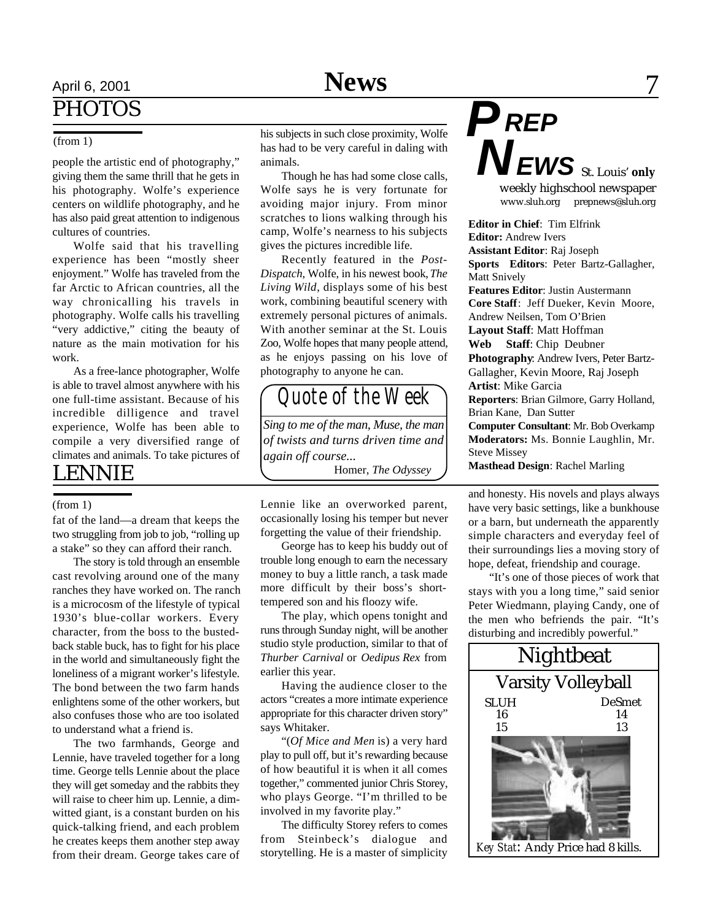## April 6, 2001 **News** 7 PHOTOS

#### (from 1)

people the artistic end of photography," giving them the same thrill that he gets in his photography. Wolfe's experience centers on wildlife photography, and he has also paid great attention to indigenous cultures of countries.

Wolfe said that his travelling experience has been "mostly sheer enjoyment." Wolfe has traveled from the far Arctic to African countries, all the way chronicalling his travels in photography. Wolfe calls his travelling "very addictive," citing the beauty of nature as the main motivation for his work.

As a free-lance photographer, Wolfe is able to travel almost anywhere with his one full-time assistant. Because of his incredible dilligence and travel experience, Wolfe has been able to compile a very diversified range of climates and animals. To take pictures of

### LENNIE

#### (from 1)

fat of the land—a dream that keeps the two struggling from job to job, "rolling up a stake" so they can afford their ranch.

The story is told through an ensemble cast revolving around one of the many ranches they have worked on. The ranch is a microcosm of the lifestyle of typical 1930's blue-collar workers. Every character, from the boss to the bustedback stable buck, has to fight for his place in the world and simultaneously fight the loneliness of a migrant worker's lifestyle. The bond between the two farm hands enlightens some of the other workers, but also confuses those who are too isolated to understand what a friend is.

The two farmhands, George and Lennie, have traveled together for a long time. George tells Lennie about the place they will get someday and the rabbits they will raise to cheer him up. Lennie, a dimwitted giant, is a constant burden on his quick-talking friend, and each problem he creates keeps them another step away from their dream. George takes care of his subjects in such close proximity, Wolfe has had to be very careful in daling with animals.

Though he has had some close calls, Wolfe says he is very fortunate for avoiding major injury. From minor scratches to lions walking through his camp, Wolfe's nearness to his subjects gives the pictures incredible life.

Recently featured in the *Post-Dispatch*, Wolfe, in his newest book, *The Living Wild*, displays some of his best work, combining beautiful scenery with extremely personal pictures of animals. With another seminar at the St. Louis Zoo, Wolfe hopes that many people attend, as he enjoys passing on his love of photography to anyone he can.

### *Quote of the Week*

*Sing to me of the man, Muse, the man of twists and turns driven time and again off course...* Homer, *The Odyssey*

Lennie like an overworked parent, occasionally losing his temper but never forgetting the value of their friendship.

George has to keep his buddy out of trouble long enough to earn the necessary money to buy a little ranch, a task made more difficult by their boss's shorttempered son and his floozy wife.

The play, which opens tonight and runs through Sunday night, will be another studio style production, similar to that of *Thurber Carnival* or *Oedipus Rex* from earlier this year.

Having the audience closer to the actors "creates a more intimate experience appropriate for this character driven story" says Whitaker.

"(*Of Mice and Men* is) a very hard play to pull off, but it's rewarding because of how beautiful it is when it all comes together," commented junior Chris Storey, who plays George. "I'm thrilled to be involved in my favorite play."

The difficulty Storey refers to comes from Steinbeck's dialogue and storytelling. He is a master of simplicity *P N EWS* St. Louis' **only** weekly highschool newspaper www.sluh.org prepnews@sluh.org

*REP*

**Editor in Chief**: Tim Elfrink **Editor:** Andrew Ivers **Assistant Editor**: Raj Joseph **Sports Editors**: Peter Bartz-Gallagher, Matt Snively **Features Editor**: Justin Austermann **Core Staff**: Jeff Dueker, Kevin Moore, Andrew Neilsen, Tom O'Brien **Layout Staff**: Matt Hoffman **Web Staff**: Chip Deubner **Photography**: Andrew Ivers, Peter Bartz-Gallagher, Kevin Moore, Raj Joseph **Artist**: Mike Garcia **Reporters**: Brian Gilmore, Garry Holland, Brian Kane, Dan Sutter **Computer Consultant**: Mr. Bob Overkamp **Moderators:** Ms. Bonnie Laughlin, Mr. Steve Missey **Masthead Design**: Rachel Marling

and honesty. His novels and plays always have very basic settings, like a bunkhouse or a barn, but underneath the apparently simple characters and everyday feel of their surroundings lies a moving story of hope, defeat, friendship and courage.

"It's one of those pieces of work that stays with you a long time," said senior Peter Wiedmann, playing Candy, one of the men who befriends the pair. "It's disturbing and incredibly powerful."